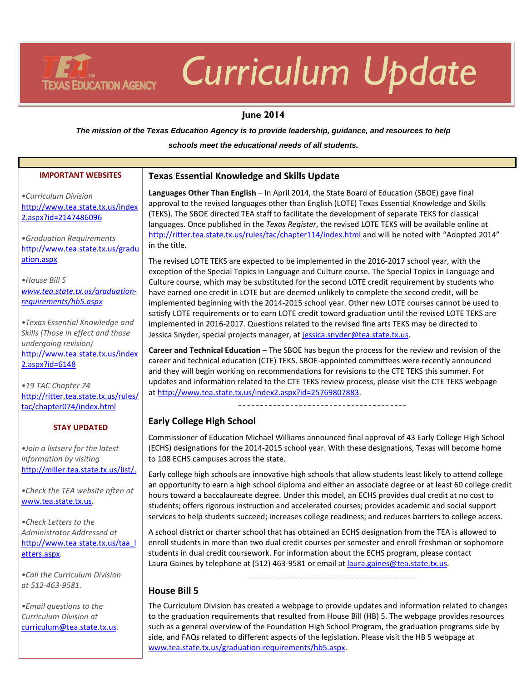# **TEXAS EDUCATION AGENCY**

# *Curriculum Update*

#### **June 2014**

*The mission of the Texas Education Agency is to provide leadership, guidance, and resources to help*

*schools meet the educational needs of all students.*

| <b>IMPORTANT WEBSITES</b>                                                                                    | <b>Texas Essential Knowledge and Skills Update</b>                                                                                                                                                                                                                                                                                                                                                                                                                                                                |  |  |
|--------------------------------------------------------------------------------------------------------------|-------------------------------------------------------------------------------------------------------------------------------------------------------------------------------------------------------------------------------------------------------------------------------------------------------------------------------------------------------------------------------------------------------------------------------------------------------------------------------------------------------------------|--|--|
| •Curriculum Division<br>http://www.tea.state.tx.us/index<br>2.aspx?id=2147486096<br>·Graduation Requirements | Languages Other Than English - In April 2014, the State Board of Education (SBOE) gave final<br>approval to the revised languages other than English (LOTE) Texas Essential Knowledge and Skills<br>(TEKS). The SBOE directed TEA staff to facilitate the development of separate TEKS for classical<br>languages. Once published in the Texas Register, the revised LOTE TEKS will be available online at<br>http://ritter.tea.state.tx.us/rules/tac/chapter114/index.html and will be noted with "Adopted 2014" |  |  |
| http://www.tea.state.tx.us/gradu                                                                             | in the title.                                                                                                                                                                                                                                                                                                                                                                                                                                                                                                     |  |  |
| ation.aspx                                                                                                   | The revised LOTE TEKS are expected to be implemented in the 2016-2017 school year, with the<br>exception of the Special Topics in Language and Culture course. The Special Topics in Language and                                                                                                                                                                                                                                                                                                                 |  |  |
| • House Bill 5<br>www.tea.state.tx.us/graduation-<br>requirements/hb5.aspx                                   | Culture course, which may be substituted for the second LOTE credit requirement by students who<br>have earned one credit in LOTE but are deemed unlikely to complete the second credit, will be<br>implemented beginning with the 2014-2015 school year. Other new LOTE courses cannot be used to<br>satisfy LOTE requirements or to earn LOTE credit toward graduation until the revised LOTE TEKS are                                                                                                          |  |  |
| . Texas Essential Knowledge and<br>Skills (Those in effect and those                                         | implemented in 2016-2017. Questions related to the revised fine arts TEKS may be directed to<br>Jessica Snyder, special projects manager, at jessica.snyder@tea.state.tx.us.                                                                                                                                                                                                                                                                                                                                      |  |  |
| undergoing revision)<br>http://www.tea.state.tx.us/index<br>$2.$ aspx?id=6148                                | Career and Technical Education - The SBOE has begun the process for the review and revision of the<br>career and technical education (CTE) TEKS. SBOE-appointed committees were recently announced<br>and they will begin working on recommendations for revisions to the CTE TEKS this summer. For                                                                                                                                                                                                               |  |  |
| •19 TAC Chapter 74<br>http://ritter.tea.state.tx.us/rules/                                                   | updates and information related to the CTE TEKS review process, please visit the CTE TEKS webpage<br>at http://www.tea.state.tx.us/index2.aspx?id=25769807883.                                                                                                                                                                                                                                                                                                                                                    |  |  |
| tac/chapter074/index.html                                                                                    | ------------------------------------                                                                                                                                                                                                                                                                                                                                                                                                                                                                              |  |  |
| <b>STAY UPDATED</b>                                                                                          | <b>Early College High School</b>                                                                                                                                                                                                                                                                                                                                                                                                                                                                                  |  |  |
| .Join a listserv for the latest<br>information by visiting                                                   | Commissioner of Education Michael Williams announced final approval of 43 Early College High School<br>(ECHS) designations for the 2014-2015 school year. With these designations, Texas will become home<br>to 108 ECHS campuses across the state.                                                                                                                                                                                                                                                               |  |  |
| http://miller.tea.state.tx.us/list/.<br>.Check the TEA website often at                                      | Early college high schools are innovative high schools that allow students least likely to attend college<br>an opportunity to earn a high school diploma and either an associate degree or at least 60 college credit<br>hours toward a baccalaureate degree. Under this model, an ECHS provides dual credit at no cost to                                                                                                                                                                                       |  |  |
| www.tea.state.tx.us.                                                                                         | students; offers rigorous instruction and accelerated courses; provides academic and social support<br>services to help students succeed; increases college readiness; and reduces barriers to college access.                                                                                                                                                                                                                                                                                                    |  |  |
| • Check Letters to the<br>Administrator Addressed at                                                         | A school district or charter school that has obtained an ECHS designation from the TEA is allowed to                                                                                                                                                                                                                                                                                                                                                                                                              |  |  |
| http://www.tea.state.tx.us/taa_l<br>etters.aspx.                                                             | enroll students in more than two dual credit courses per semester and enroll freshman or sophomore<br>students in dual credit coursework. For information about the ECHS program, please contact<br>Laura Gaines by telephone at (512) 463-9581 or email at laura.gaines@tea.state.tx.us.                                                                                                                                                                                                                         |  |  |
| .Call the Curriculum Division                                                                                | --------------------------------------                                                                                                                                                                                                                                                                                                                                                                                                                                                                            |  |  |
| at 512-463-9581.                                                                                             | <b>House Bill 5</b>                                                                                                                                                                                                                                                                                                                                                                                                                                                                                               |  |  |
| • Email questions to the<br>Curriculum Division at                                                           | The Curriculum Division has created a webpage to provide updates and information related to changes<br>to the graduation requirements that resulted from House Bill (HB) 5. The webpage provides resources                                                                                                                                                                                                                                                                                                        |  |  |

[www.tea.state.tx.us/graduation-requirements/hb5.aspx.](http://www.tea.state.tx.us/graduation-requirements/hb5.aspx)

such as a general overview of the Foundation High School Program, the graduation programs side by side, and FAQs related to different aspects of the legislation. Please visit the HB 5 webpage at

*Curriculum Division at*  [curriculum@tea.state.tx.us.](mailto:curriculum@tea.state.tx.us)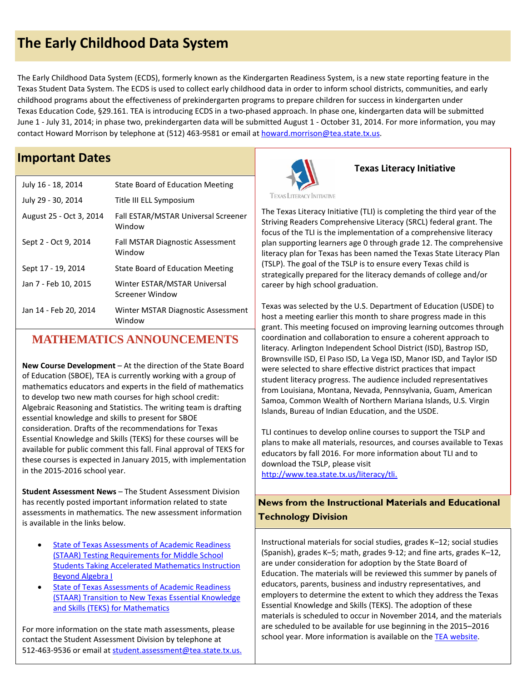# **The Early Childhood Data System**

The Early Childhood Data System (ECDS), formerly known as the Kindergarten Readiness System, is a new state reporting feature in the Texas Student Data System. The ECDS is used to collect early childhood data in order to inform school districts, communities, and early childhood programs about the effectiveness of prekindergarten programs to prepare children for success in kindergarten under Texas Education Code, §29.161. TEA is introducing ECDS in a two-phased approach. In phase one, kindergarten data will be submitted June 1 - July 31, 2014; in phase two, prekindergarten data will be submitted August 1 - October 31, 2014. For more information, you may contact Howard Morrison by telephone at (512) 463-9581 or email at howard.morrison@tea.state.tx.us.

### **Important Dates**

| July 16 - 18, 2014      | State Board of Education Meeting                     |
|-------------------------|------------------------------------------------------|
| July 29 - 30, 2014      | Title III ELL Symposium                              |
| August 25 - Oct 3, 2014 | <b>Fall ESTAR/MSTAR Universal Screener</b><br>Window |
| Sept 2 - Oct 9, 2014    | <b>Fall MSTAR Diagnostic Assessment</b><br>Window    |
| Sept 17 - 19, 2014      | State Board of Education Meeting                     |
| Jan 7 - Feb 10, 2015    | Winter ESTAR/MSTAR Universal<br>Screener Window      |
| Jan 14 - Feb 20, 2014   | Winter MSTAR Diagnostic Assessment<br>Window         |

## **MATHEMATICS ANNOUNCEMENTS**

**New Course Development** – At the direction of the State Board of Education (SBOE), TEA is currently working with a group of mathematics educators and experts in the field of mathematics to develop two new math courses for high school credit: Algebraic Reasoning and Statistics. The writing team is drafting essential knowledge and skills to present for SBOE consideration. Drafts of the recommendations for Texas Essential Knowledge and Skills (TEKS) for these courses will be available for public comment this fall. Final approval of TEKS for these courses is expected in January 2015, with implementation in the 2015-2016 school year.

**Student Assessment News** – The Student Assessment Division has recently posted important information related to state assessments in mathematics. The new assessment information is available in the links below.

- [State of Texas Assessments of Academic Readiness](http://www.tea.state.tx.us/index4.aspx?id=25769810278) [\(STAAR\) Testing Requirements for Middle School](http://www.tea.state.tx.us/index4.aspx?id=25769810278) [Students Taking Accelerated Mathematics Instruction](http://www.tea.state.tx.us/index4.aspx?id=25769810278) [Beyond Algebra I](http://www.tea.state.tx.us/index4.aspx?id=25769810278)
- [State of Texas Assessments of Academic Readiness](http://www.tea.state.tx.us/index4.aspx?id=25769810943) [\(STAAR\) Transition to New Texas Essential Knowledge](http://www.tea.state.tx.us/index4.aspx?id=25769810943) [and Skills \(TEKS\) for Mathematics](http://www.tea.state.tx.us/index4.aspx?id=25769810943)

For more information on the state math assessments, please contact the Student Assessment Division by telephone at 512-463-9536 or email at [student.assessment@tea.state.tx.us.](mailto:student.assessment@tea.state.tx.us)



#### **Texas Literacy Initiative**

**TEXAS LITERACY INITIATIVE** 

The Texas Literacy Initiative (TLI) is completing the third year of the Striving Readers Comprehensive Literacy (SRCL) federal grant. The focus of the TLI is the implementation of a comprehensive literacy plan supporting learners age 0 through grade 12. The comprehensive literacy plan for Texas has been named the Texas State Literacy Plan (TSLP). The goal of the TSLP is to ensure every Texas child is strategically prepared for the literacy demands of college and/or career by high school graduation.

Texas was selected by the U.S. Department of Education (USDE) to host a meeting earlier this month to share progress made in this grant. This meeting focused on improving learning outcomes through coordination and collaboration to ensure a coherent approach to literacy*.* Arlington Independent School District (ISD), Bastrop ISD, Brownsville ISD, El Paso ISD, La Vega ISD, Manor ISD, and Taylor ISD were selected to share effective district practices that impact student literacy progress. The audience included representatives from Louisiana, Montana, Nevada, Pennsylvania, Guam, American Samoa, Common Wealth of Northern Mariana Islands, U.S. Virgin Islands, Bureau of Indian Education, and the USDE.

TLI continues to develop online courses to support the TSLP and plans to make all materials, resources, and courses available to Texas educators by fall 2016. For more information about TLI and to download the TSLP, please visit

[http://www.tea.state.tx.us/literacy/tli.](http://www.tea.state.tx.us/literacy/tli)

#### **News from the Instructional Materials and Educational Technology Division**

Instructional materials for social studies, grades K–12; social studies (Spanish), grades K–5; math, grades 9-12; and fine arts, grades K–12, are under consideration for adoption by the State Board of Education. The materials will be reviewed this summer by panels of educators, parents, business and industry representatives, and employers to determine the extent to which they address the Texas Essential Knowledge and Skills (TEKS). The adoption of these materials is scheduled to occur in November 2014, and the materials are scheduled to be available for use beginning in the 2015–2016 school year. More information is available on th[e TEA website.](http://www.tea.state.tx.us/index2.aspx?id=25769804190)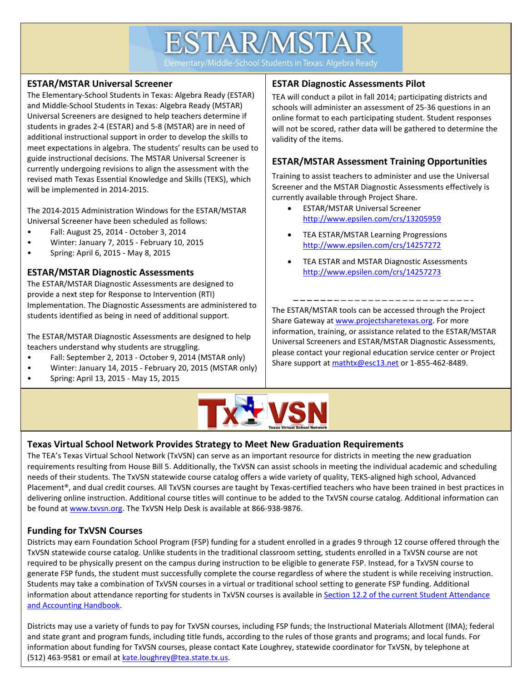# **ESTAR/MSTAR**

Elementary/Middle-School Students in Texas: Algebra Ready

#### **ESTAR/MSTAR Universal Screener**

The Elementary-School Students in Texas: Algebra Ready (ESTAR) and Middle-School Students in Texas: Algebra Ready (MSTAR) Universal Screeners are designed to help teachers determine if students in grades 2-4 (ESTAR) and 5-8 (MSTAR) are in need of additional instructional support in order to develop the skills to meet expectations in algebra. The students' results can be used to guide instructional decisions. The MSTAR Universal Screener is currently undergoing revisions to align the assessment with the revised math Texas Essential Knowledge and Skills (TEKS), which will be implemented in 2014-2015.

The 2014-2015 Administration Windows for the ESTAR/MSTAR Universal Screener have been scheduled as follows:

- Fall: August 25, 2014 October 3, 2014
- Winter: January 7, 2015 February 10, 2015
- Spring: April 6, 2015 May 8, 2015

#### **ESTAR/MSTAR Diagnostic Assessments**

The ESTAR/MSTAR Diagnostic Assessments are designed to provide a next step for Response to Intervention (RTI) Implementation. The Diagnostic Assessments are administered to students identified as being in need of additional support.

The ESTAR/MSTAR Diagnostic Assessments are designed to help teachers understand why students are struggling.

- Fall: September 2, 2013 October 9, 2014 (MSTAR only)
- Winter: January 14, 2015 February 20, 2015 (MSTAR only)
- Spring: April 13, 2015 May 15, 2015

#### **ESTAR Diagnostic Assessments Pilot**

TEA will conduct a pilot in fall 2014; participating districts and schools will administer an assessment of 25-36 questions in an online format to each participating student. Student responses will not be scored, rather data will be gathered to determine the validity of the items.

#### **ESTAR/MSTAR Assessment Training Opportunities**

Training to assist teachers to administer and use the Universal Screener and the MSTAR Diagnostic Assessments effectively is currently available through Project Share.

- ESTAR/MSTAR Universal Screener <http://www.epsilen.com/crs/13205959>
- TEA ESTAR/MSTAR Learning Progressions <http://www.epsilen.com/crs/14257272>
- TEA ESTAR and MSTAR Diagnostic Assessments <http://www.epsilen.com/crs/14257273>

The ESTAR/MSTAR tools can be accessed through the Project Share Gateway at [www.projectsharetexas.org.](http://www.projectsharetexas.org/) For more information, training, or assistance related to the ESTAR/MSTAR Universal Screeners and ESTAR/MSTAR Diagnostic Assessments, please contact your regional education service center or Project Share support at [mathtx@esc13.net](mailto:mathtx@esc13.net) or 1-855-462-8489.



#### **Texas Virtual School Network Provides Strategy to Meet New Graduation Requirements**

The TEA's Texas Virtual School Network (TxVSN) can serve as an important resource for districts in meeting the new graduation requirements resulting from House Bill 5. Additionally, the TxVSN can assist schools in meeting the individual academic and scheduling needs of their students. The TxVSN statewide course catalog offers a wide variety of quality, TEKS-aligned high school, Advanced Placement®, and dual credit courses. All TxVSN courses are taught by Texas-certified teachers who have been trained in best practices in delivering online instruction. Additional course titles will continue to be added to the TxVSN course catalog. Additional information can be found at [www.txvsn.org.](http://www.txvsn.org/) The TxVSN Help Desk is available at 866-938-9876.

#### **Funding for TxVSN Courses**

Districts may earn Foundation School Program (FSP) funding for a student enrolled in a grades 9 through 12 course offered through the TxVSN statewide course catalog. Unlike students in the traditional classroom setting, students enrolled in a TxVSN course are not required to be physically present on the campus during instruction to be eligible to generate FSP. Instead, for a TxVSN course to generate FSP funds, the student must successfully complete the course regardless of where the student is while receiving instruction. Students may take a combination of TxVSN courses in a virtual or traditional school setting to generate FSP funding. Additional information about attendance reporting for students in TxVSN courses is available in Section 12.2 of the current Student Attendance [and Accounting Handbook.](http://www.tea.state.tx.us/index2.aspx?id=7739&menu_id=645&menu_id2=789)

Districts may use a variety of funds to pay for TxVSN courses, including FSP funds; the Instructional Materials Allotment (IMA); federal and state grant and program funds, including title funds, according to the rules of those grants and programs; and local funds. For information about funding for TxVSN courses, please contact Kate Loughrey, statewide coordinator for TxVSN, by telephone at (512) 463-9581 or email at [kate.loughrey@tea.state.tx.us.](mailto:kate.loughrey@tea.state.tx.us)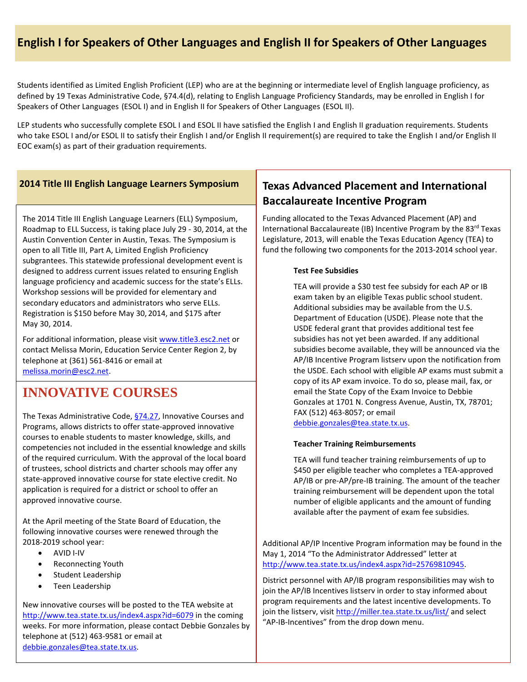# **English I for Speakers of Other Languages and English II for Speakers of Other Languages**

Students identified as Limited English Proficient (LEP) who are at the beginning or intermediate level of English language proficiency, as defined by 19 Texas Administrative Code, §74.4(d), relating to English Language Proficiency Standards, may be enrolled in English I for Speakers of Other Languages (ESOL I) and in English II for Speakers of Other Languages (ESOL II).

LEP students who successfully complete ESOL I and ESOL II have satisfied the English I and English II graduation requirements. Students who take ESOL I and/or ESOL II to satisfy their English I and/or English II requirement(s) are required to take the English I and/or English II EOC exam(s) as part of their graduation requirements.

#### **2014 Title III English Language Learners Symposium**

The 2014 Title III English Language Learners (ELL) Symposium, Roadmap to ELL Success, is taking place July 29 - 30, 2014, at the Austin Convention Center in Austin, Texas. The Symposium is open to all Title III, Part A, Limited English Proficiency subgrantees. This statewide professional development event is designed to address current issues related to ensuring English language proficiency and academic success for the state's ELLs. Workshop sessions will be provided for elementary and secondary educators and administrators who serve ELLs. Registration is \$150 before May 30, 2014, and \$175 after May 30, 2014.

For additional information, please visit [www.title3.esc2.net](http://www.title3.esc2.net/) or contact Melissa Morin, Education Service Center Region 2, by telephone at (361) 561-8416 or email at [melissa.morin@esc2.net.](mailto:melissa.morin@esc2.net)

# **INNOVATIVE COURSES**

The Texas Administrative Code, [§74.27,](http://ritter.tea.state.tx.us/rules/tac/chapter074/ch074c.html%2374.27) Innovative Courses and Programs, allows districts to offer state-approved innovative courses to enable students to master knowledge, skills, and competencies not included in the essential knowledge and skills of the required curriculum. With the approval of the local board of trustees, school districts and charter schools may offer any state-approved innovative course for state elective credit. No application is required for a district or school to offer an approved innovative course.

At the April meeting of the State Board of Education, the following innovative courses were renewed through the 2018-2019 school year:

- AVID I-IV
- Reconnecting Youth
- Student Leadership
- Teen Leadership

New innovative courses will be posted to the TEA website at <http://www.tea.state.tx.us/index4.aspx?id=6079> in the coming weeks. For more information, please contact Debbie Gonzales by telephone at (512) 463-9581 or email at [debbie.gonzales@tea.state.tx.us.](mailto:debbie.gonzales@tea.state.tx.us)

### **Texas Advanced Placement and International Baccalaureate Incentive Program**

Funding allocated to the Texas Advanced Placement (AP) and International Baccalaureate (IB) Incentive Program by the 83<sup>rd</sup> Texas Legislature, 2013, will enable the Texas Education Agency (TEA) to fund the following two components for the 2013-2014 school year.

#### **Test Fee Subsidies**

TEA will provide a \$30 test fee subsidy for each AP or IB exam taken by an eligible Texas public school student. Additional subsidies may be available from the U.S. Department of Education (USDE). Please note that the USDE federal grant that provides additional test fee subsidies has not yet been awarded. If any additional subsidies become available, they will be announced via the AP/IB Incentive Program listserv upon the notification from the USDE. Each school with eligible AP exams must submit a copy of its AP exam invoice. To do so, please mail, fax, or email the State Copy of the Exam Invoice to Debbie Gonzales at 1701 N. Congress Avenue, Austin, TX, 78701; FAX (512) 463-8057; or email

[debbie.gonzales@tea.state.tx.us.](mailto:debbie.gonzales@tea.state.tx.us)

#### **Teacher Training Reimbursements**

TEA will fund teacher training reimbursements of up to \$450 per eligible teacher who completes a TEA-approved AP/IB or pre-AP/pre-IB training. The amount of the teacher training reimbursement will be dependent upon the total number of eligible applicants and the amount of funding available after the payment of exam fee subsidies.

Additional AP/IP Incentive Program information may be found in the May 1, 2014 "To the Administrator Addressed" letter at [http://www.tea.state.tx.us/index4.aspx?id=25769810945.](http://www.tea.state.tx.us/index4.aspx?id=25769810945)

District personnel with AP/IB program responsibilities may wish to join the AP/IB Incentives listserv in order to stay informed about program requirements and the latest incentive developments. To join the listserv, visi[t http://miller.tea.state.tx.us/list/](http://miller.tea.state.tx.us/list/) and select "AP-IB-Incentives" from the drop down menu.